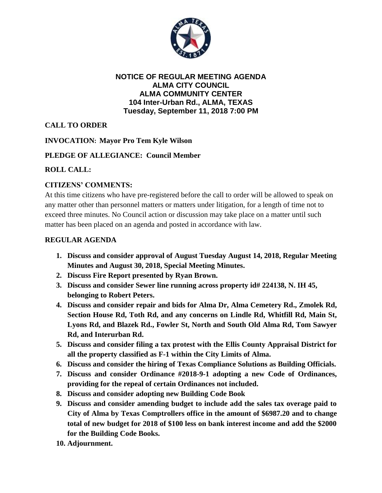

#### **NOTICE OF REGULAR MEETING AGENDA ALMA CITY COUNCIL ALMA COMMUNITY CENTER 104 Inter-Urban Rd., ALMA, TEXAS Tuesday, September 11, 2018 7:00 PM**

# **CALL TO ORDER**

## **INVOCATION: Mayor Pro Tem Kyle Wilson**

### **PLEDGE OF ALLEGIANCE: Council Member**

### **ROLL CALL:**

## **CITIZENS' COMMENTS:**

At this time citizens who have pre-registered before the call to order will be allowed to speak on any matter other than personnel matters or matters under litigation, for a length of time not to exceed three minutes. No Council action or discussion may take place on a matter until such matter has been placed on an agenda and posted in accordance with law.

#### **REGULAR AGENDA**

- **1. Discuss and consider approval of August Tuesday August 14, 2018, Regular Meeting Minutes and August 30, 2018, Special Meeting Minutes.**
- **2. Discuss Fire Report presented by Ryan Brown.**
- **3. Discuss and consider Sewer line running across property id# 224138, N. IH 45, belonging to Robert Peters.**
- **4. Discuss and consider repair and bids for Alma Dr, Alma Cemetery Rd., Zmolek Rd, Section House Rd, Toth Rd, and any concerns on Lindle Rd, Whitfill Rd, Main St, Lyons Rd, and Blazek Rd., Fowler St, North and South Old Alma Rd, Tom Sawyer Rd, and Interurban Rd.**
- **5. Discuss and consider filing a tax protest with the Ellis County Appraisal District for all the property classified as F-1 within the City Limits of Alma.**
- **6. Discuss and consider the hiring of Texas Compliance Solutions as Building Officials.**
- **7. Discuss and consider Ordinance #2018-9-1 adopting a new Code of Ordinances, providing for the repeal of certain Ordinances not included.**
- **8. Discuss and consider adopting new Building Code Book**
- **9. Discuss and consider amending budget to include add the sales tax overage paid to City of Alma by Texas Comptrollers office in the amount of \$6987.20 and to change total of new budget for 2018 of \$100 less on bank interest income and add the \$2000 for the Building Code Books.**
- **10. Adjournment.**